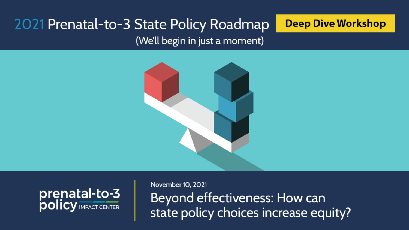# 2021 Prenatal-to-3 State Policy Roadmap

### **Deep Dive Workshop**

(We'll begin in just a moment)





November 10, 2021 Beyond effectiveness: How can state policy choices increase equity?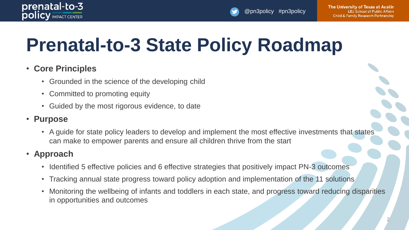

@pn3policy #pn3policy

# **Prenatal-to-3 State Policy Roadmap**

### • **Core Principles**

- Grounded in the science of the developing child
- Committed to promoting equity
- Guided by the most rigorous evidence, to date

### • **Purpose**

• A guide for state policy leaders to develop and implement the most effective investments that states can make to empower parents and ensure all children thrive from the start

### • **Approach**

- Identified 5 effective policies and 6 effective strategies that positively impact PN-3 outcomes
- Tracking annual state progress toward policy adoption and implementation of the 11 solutions
- Monitoring the wellbeing of infants and toddlers in each state, and progress toward reducing disparities in opportunities and outcomes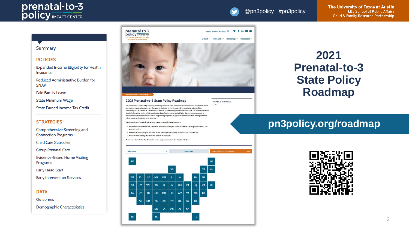

The University of Texas at Austin **LBJ** School of Public Affairs **Child & Family Research Partnership** 

#### Summary

#### **POLICIES**

Expanded Income Eligibility for Health Insurance

**Reduced Administrative Burden for SNAP** 

**Paid Family Leave** 

**State Minimum Wage** 

**State Earned Income Tax Credit** 

#### **STRATEGIES**

Comprehensive Screening and **Connection Programs** 

**Child Care Subsidies** 

**Group Prenatal Care** 

**Evidence-Based Home Visiting** Programs

**Early Head Start** 

**Early Intervention Services** 

**DATA** 

Outcomes

**Demographic Characteristics** 



 $MS$  $AL$ GA

OK LA

 $\mathsf{TX}$ 

DE

 $CA$ UT  $co$ **NE MO** KY wv VA

HI.

 $\mathsf{A} \mathsf{Z}$ **NM** KS **AR** TN. **NC** sc **DC** 

## 2021 **Prenatal-to-3 State Policy Roadmap**

### pn3policy.org/roadmap

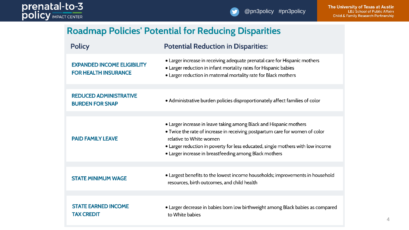### **Roadmap Policies' Potential for Reducing Disparities**

| <b>Policy</b>                                                     | <b>Potential Reduction in Disparities:</b>                                                                                                                                                                                                                                                                                 |
|-------------------------------------------------------------------|----------------------------------------------------------------------------------------------------------------------------------------------------------------------------------------------------------------------------------------------------------------------------------------------------------------------------|
| <b>EXPANDED INCOME ELIGIBILITY</b><br><b>FOR HEALTH INSURANCE</b> | • Larger increase in receiving adequate prenatal care for Hispanic mothers<br>• Larger reduction in infant mortality rates for Hispanic babies<br>· Larger reduction in maternal mortality rate for Black mothers                                                                                                          |
|                                                                   |                                                                                                                                                                                                                                                                                                                            |
| <b>REDUCED ADMINISTRATIVE</b><br><b>BURDEN FOR SNAP</b>           | • Administrative burden policies disproportionately affect families of color                                                                                                                                                                                                                                               |
|                                                                   |                                                                                                                                                                                                                                                                                                                            |
| <b>PAID FAMILY LEAVE</b>                                          | • Larger increase in leave taking among Black and Hispanic mothers<br>. Twice the rate of increase in receiving postpartum care for women of color<br>relative to White women<br>• Larger reduction in poverty for less educated, single mothers with low income<br>• Larger increase in breastfeeding among Black mothers |
|                                                                   |                                                                                                                                                                                                                                                                                                                            |
| <b>STATE MINIMUM WAGE</b>                                         | • Largest benefits to the lowest income households; improvements in household<br>resources, birth outcomes, and child health                                                                                                                                                                                               |
|                                                                   |                                                                                                                                                                                                                                                                                                                            |
| <b>STATE EARNED INCOME</b><br><b>TAX CREDIT</b>                   | • Larger decrease in babies born low birthweight among Black babies as compared<br>to White babies                                                                                                                                                                                                                         |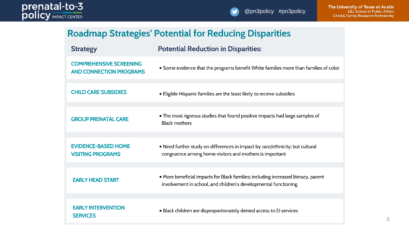### **Roadmap Strategies' Potential for Reducing Disparities**

| <b>Strategy</b>                                                  | <b>Potential Reduction in Disparities:</b>                                                                                                            |
|------------------------------------------------------------------|-------------------------------------------------------------------------------------------------------------------------------------------------------|
| <b>COMPREHENSIVE SCREENING</b><br><b>AND CONNECTION PROGRAMS</b> | • Some evidence that the programs benefit White families more than families of color                                                                  |
| <b>CHILD CARE SUBSIDIES</b>                                      | • Eligible Hispanic families are the least likely to receive subsidies                                                                                |
| <b>GROUP PRENATAL CARE</b>                                       | • The most rigorous studies that found positive impacts had large samples of<br><b>Black mothers</b>                                                  |
| <b>EVIDENCE-BASED HOME</b><br><b>VISITING PROGRAMS</b>           | . Need further study on differences in impact by race/ethnicity; but cultural<br>congruence among home visitors and mothers is important              |
| <b>EARLY HEAD START</b>                                          | . More beneficial impacts for Black families; including increased literacy, parent<br>involvement in school, and children's developmental functioning |
| <b>EARLY INTERVENTION</b><br><b>SERVICES</b>                     | • Black children are disproportionately denied access to EI services                                                                                  |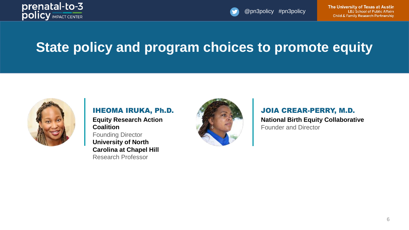

The University of Texas at Austin **LBJ** School of Public Affairs **Child & Family Research Partnership** 

# **State policy and program choices to promote equity**



IHEOMA IRUKA, Ph.D. **Equity Research Action Coalition** Founding Director **University of North Carolina at Chapel Hill** Research Professor



JOIA CREAR-PERRY, M.D. **National Birth Equity Collaborative** Founder and Director